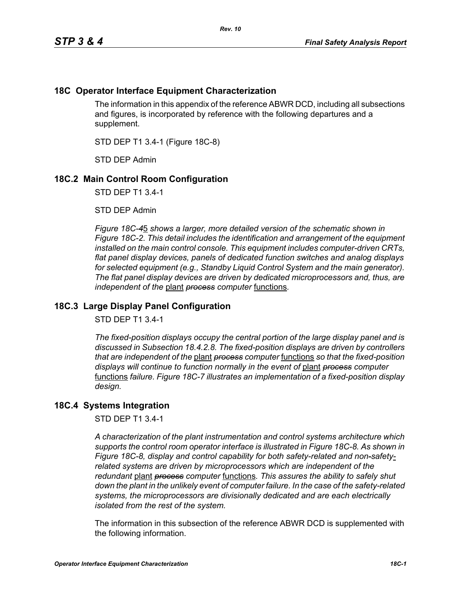## **18C Operator Interface Equipment Characterization**

The information in this appendix of the reference ABWR DCD, including all subsections and figures, is incorporated by reference with the following departures and a supplement.

STD DEP T1 3.4-1 (Figure 18C-8)

STD DEP Admin

## **18C.2 Main Control Room Configuration**

STD DEP T1 3.4-1

STD DEP Admin

*Figure 18C-4*5 *shows a larger, more detailed version of the schematic shown in Figure 18C-2. This detail includes the identification and arrangement of the equipment installed on the main control console. This equipment includes computer-driven CRTs, flat panel display devices, panels of dedicated function switches and analog displays for selected equipment (e.g., Standby Liquid Control System and the main generator). The flat panel display devices are driven by dedicated microprocessors and, thus, are independent of the* plant *process computer* functions*.*

## **18C.3 Large Display Panel Configuration**

STD DEP T1 3.4-1

*The fixed-position displays occupy the central portion of the large display panel and is discussed in Subsection 18.4.2.8. The fixed-position displays are driven by controllers that are independent of the* plant *process computer* functions *so that the fixed-position displays will continue to function normally in the event of* plant *process computer*  functions *failure. Figure 18C-7 illustrates an implementation of a fixed-position display design.*

## **18C.4 Systems Integration**

STD DEP T1 3.4-1

*A characterization of the plant instrumentation and control systems architecture which supports the control room operator interface is illustrated in Figure 18C-8. As shown in Figure 18C-8, display and control capability for both safety-related and non-safetyrelated systems are driven by microprocessors which are independent of the redundant* plant *process computer* functions*. This assures the ability to safely shut down the plant in the unlikely event of computer failure. In the case of the safety-related systems, the microprocessors are divisionally dedicated and are each electrically isolated from the rest of the system.*

The information in this subsection of the reference ABWR DCD is supplemented with the following information.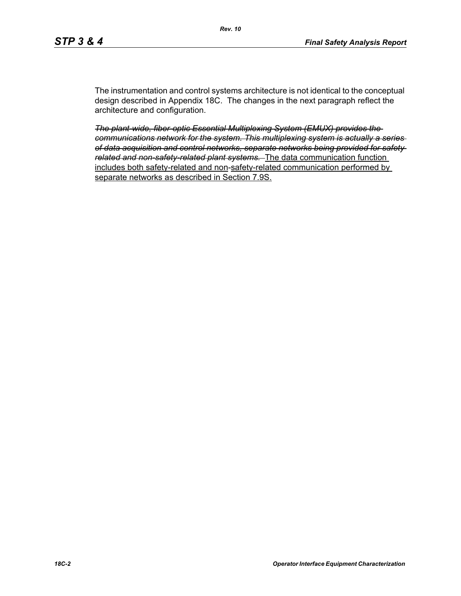The instrumentation and control systems architecture is not identical to the conceptual design described in Appendix 18C. The changes in the next paragraph reflect the architecture and configuration.

*The plant-wide, fiber-optic Essential Multiplexing System (EMUX) provides the communications network for the system. This multiplexing system is actually a series of data acquisition and control networks, separate networks being provided for safety related and non-safety-related plant systems.* The data communication function includes both safety-related and non-safety-related communication performed by separate networks as described in Section 7.9S.